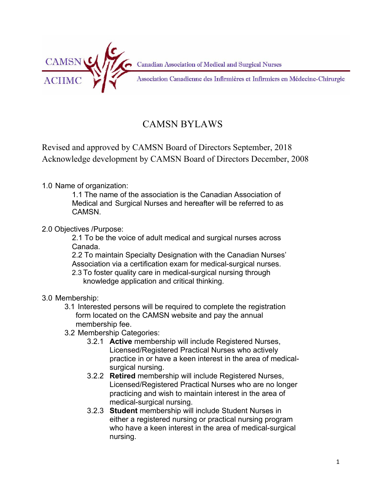

Canadian Association of Medical and Surgical Nurses

Association Canadienne des Infirmières et Infirmiers en Médecine-Chirurgie

# CAMSN BYLAWS

Revised and approved by CAMSN Board of Directors September, 2018 Acknowledge development by CAMSN Board of Directors December, 2008

## 1.0 Name of organization:

1.1 The name of the association is the Canadian Association of Medical and Surgical Nurses and hereafter will be referred to as CAMSN.

### 2.0 Objectives /Purpose:

2.1 To be the voice of adult medical and surgical nurses across Canada.

2.2 To maintain Specialty Designation with the Canadian Nurses' Association via a certification exam for medical-surgical nurses.

2.3 To foster quality care in medical-surgical nursing through knowledge application and critical thinking.

### 3.0 Membership:

- 3.1 Interested persons will be required to complete the registration form located on the CAMSN website and pay the annual membership fee.
- 3.2 Membership Categories:
	- 3.2.1 **Active** membership will include Registered Nurses, Licensed/Registered Practical Nurses who actively practice in or have a keen interest in the area of medicalsurgical nursing.
	- 3.2.2 **Retired** membership will include Registered Nurses, Licensed/Registered Practical Nurses who are no longer practicing and wish to maintain interest in the area of medical-surgical nursing.
	- 3.2.3 **Student** membership will include Student Nurses in either a registered nursing or practical nursing program who have a keen interest in the area of medical-surgical nursing.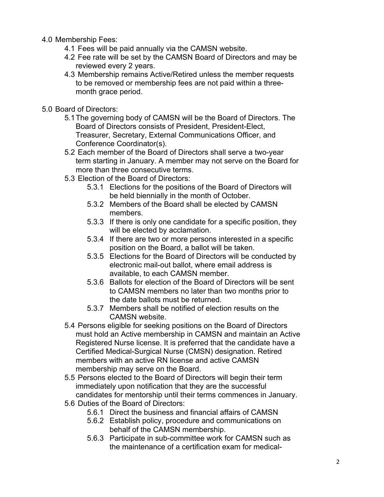- 4.0 Membership Fees:
	- 4.1 Fees will be paid annually via the CAMSN website.
	- 4.2 Fee rate will be set by the CAMSN Board of Directors and may be reviewed every 2 years.
	- 4.3 Membership remains Active/Retired unless the member requests to be removed or membership fees are not paid within a threemonth grace period.
- 5.0 Board of Directors:
	- 5.1The governing body of CAMSN will be the Board of Directors. The Board of Directors consists of President, President-Elect, Treasurer, Secretary, External Communications Officer, and Conference Coordinator(s).
	- 5.2 Each member of the Board of Directors shall serve a two-year term starting in January. A member may not serve on the Board for more than three consecutive terms.
	- 5.3 Election of the Board of Directors:
		- 5.3.1 Elections for the positions of the Board of Directors will be held biennially in the month of October.
		- 5.3.2 Members of the Board shall be elected by CAMSN members.
		- 5.3.3 If there is only one candidate for a specific position, they will be elected by acclamation.
		- 5.3.4 If there are two or more persons interested in a specific position on the Board, a ballot will be taken.
		- 5.3.5 Elections for the Board of Directors will be conducted by electronic mail-out ballot, where email address is available, to each CAMSN member.
		- 5.3.6 Ballots for election of the Board of Directors will be sent to CAMSN members no later than two months prior to the date ballots must be returned.
		- 5.3.7 Members shall be notified of election results on the CAMSN website.
	- 5.4 Persons eligible for seeking positions on the Board of Directors must hold an Active membership in CAMSN and maintain an Active Registered Nurse license. It is preferred that the candidate have a Certified Medical-Surgical Nurse (CMSN) designation. Retired members with an active RN license and active CAMSN membership may serve on the Board.
	- 5.5 Persons elected to the Board of Directors will begin their term immediately upon notification that they are the successful candidates for mentorship until their terms commences in January.
	- 5.6 Duties of the Board of Directors:
		- 5.6.1 Direct the business and financial affairs of CAMSN
		- 5.6.2 Establish policy, procedure and communications on behalf of the CAMSN membership.
		- 5.6.3 Participate in sub-committee work for CAMSN such as the maintenance of a certification exam for medical-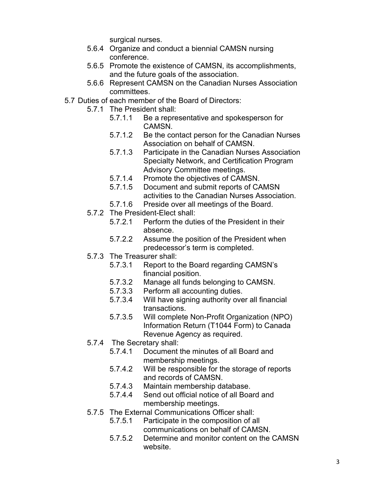surgical nurses.

- 5.6.4 Organize and conduct a biennial CAMSN nursing conference.
- 5.6.5 Promote the existence of CAMSN, its accomplishments, and the future goals of the association.
- 5.6.6 Represent CAMSN on the Canadian Nurses Association committees.
- 5.7 Duties of each member of the Board of Directors:
	- 5.7.1 The President shall:
		- 5.7.1.1 Be a representative and spokesperson for CAMSN.
		- 5.7.1.2 Be the contact person for the Canadian Nurses Association on behalf of CAMSN.
		- 5.7.1.3 Participate in the Canadian Nurses Association Specialty Network, and Certification Program Advisory Committee meetings.
		- 5.7.1.4 Promote the objectives of CAMSN.
		- 5.7.1.5 Document and submit reports of CAMSN activities to the Canadian Nurses Association.
		- 5.7.1.6 Preside over all meetings of the Board.
	- 5.7.2 The President-Elect shall:
		- 5.7.2.1 Perform the duties of the President in their absence.
		- 5.7.2.2 Assume the position of the President when predecessor's term is completed.
	- 5.7.3 The Treasurer shall:
		- 5.7.3.1 Report to the Board regarding CAMSN's financial position.
		- 5.7.3.2 Manage all funds belonging to CAMSN.
		- 5.7.3.3 Perform all accounting duties.
		- 5.7.3.4 Will have signing authority over all financial transactions.
		- 5.7.3.5 Will complete Non-Profit Organization (NPO) Information Return (T1044 Form) to Canada Revenue Agency as required.
	- 5.7.4 The Secretary shall:
		- 5.7.4.1 Document the minutes of all Board and membership meetings.
		- 5.7.4.2 Will be responsible for the storage of reports and records of CAMSN.
		- 5.7.4.3 Maintain membership database.
		- 5.7.4.4 Send out official notice of all Board and membership meetings.
	- 5.7.5 The External Communications Officer shall:
		- 5.7.5.1 Participate in the composition of all communications on behalf of CAMSN.
		- 5.7.5.2 Determine and monitor content on the CAMSN website.